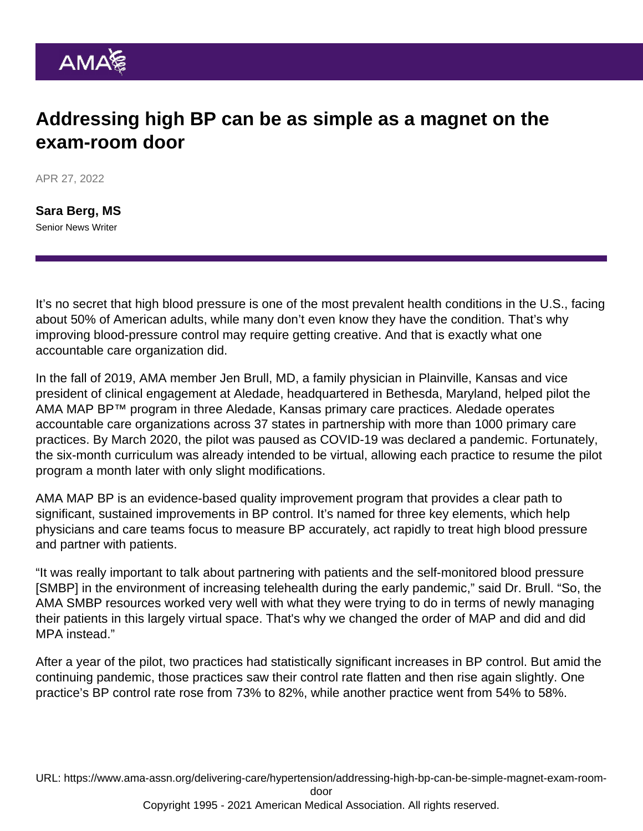## Addressing high BP can be as simple as a magnet on the exam-room door

APR 27, 2022

[Sara Berg, MS](https://www.ama-assn.org/news-leadership-viewpoints/authors-news-leadership-viewpoints/sara-berg-ms) Senior News Writer

It's no secret that high blood pressure is one of the most prevalent health conditions in the U.S., facing about 50% of American adults, while many don't even know they have the condition. That's why improving blood-pressure control may require getting creative. And that is exactly what one accountable care organization did.

In the fall of 2019, AMA member Jen Brull, MD, a family physician in Plainville, Kansas and vice president of clinical engagement at Aledade, headquartered in Bethesda, Maryland, helped pilot the [AMA MAP BP™](https://map.ama-assn.org/) program in three Aledade, Kansas primary care practices. Aledade operates accountable care organizations across 37 states in partnership with more than 1000 primary care practices. By March 2020, the pilot was paused as COVID-19 was declared a pandemic. Fortunately, the six-month curriculum was already intended to be virtual, allowing each practice to resume the pilot program a month later with only slight modifications.

AMA MAP BP is an evidence-based quality improvement program that provides a clear path to significant, sustained improvements in BP control. It's named for three key elements, which help physicians and care teams focus to measure BP accurately, act rapidly to treat high blood pressure and partner with patients.

"It was really important to talk about partnering with patients and the self-monitored blood pressure [SMBP] in the environment of increasing telehealth during the early pandemic," said Dr. Brull. "So, the AMA [SMBP](https://targetbp.org/patient-measured-bp/) resources worked very well with what they were trying to do in terms of newly managing their patients in this largely virtual space. That's why we changed the order of MAP and did and did MPA instead."

After a year of the pilot, two practices had statistically significant increases in BP control. But amid the continuing pandemic, those practices saw their control rate flatten and then rise again slightly. One practice's BP control rate rose from 73% to 82%, while another practice went from 54% to 58%.

URL: [https://www.ama-assn.org/delivering-care/hypertension/addressing-high-bp-can-be-simple-magnet-exam-room-](https://www.ama-assn.org/delivering-care/hypertension/addressing-high-bp-can-be-simple-magnet-exam-room-door)

[door](https://www.ama-assn.org/delivering-care/hypertension/addressing-high-bp-can-be-simple-magnet-exam-room-door)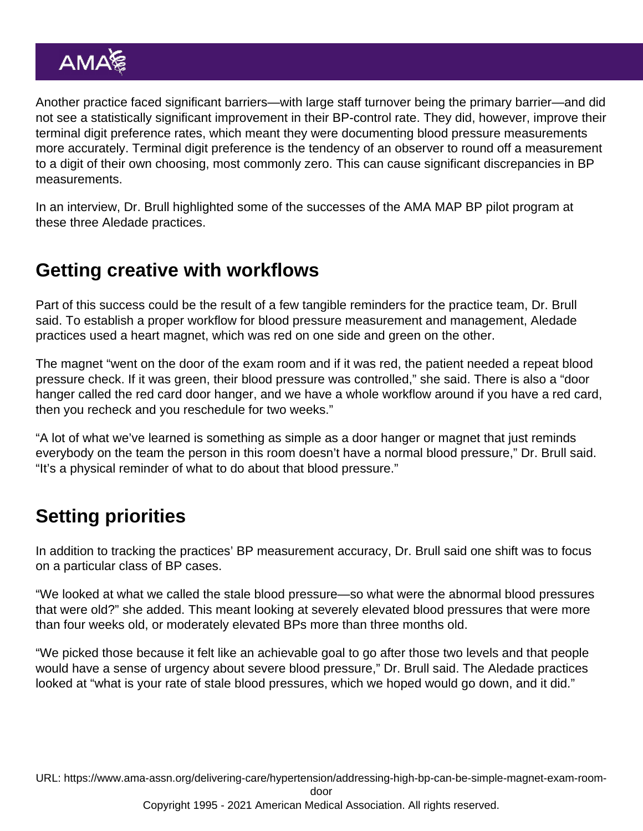Another practice faced significant barriers—with large staff turnover being the primary barrier—and did not see a statistically significant improvement in their BP-control rate. They did, however, improve their terminal digit preference rates, which meant they were documenting blood pressure measurements more accurately. Terminal digit preference is the tendency of an observer to round off a measurement to a digit of their own choosing, most commonly zero. This can cause significant discrepancies in BP measurements.

In an interview, Dr. Brull highlighted some of the successes of the AMA MAP BP pilot program at these three Aledade practices.

## Getting creative with workflows

Part of this success could be the result of a few tangible reminders for the practice team, Dr. Brull said. To establish a proper workflow for blood pressure measurement and management, Aledade practices used a heart magnet, which was red on one side and green on the other.

The magnet "went on the door of the exam room and if it was red, the patient needed a repeat blood pressure check. If it was green, their blood pressure was controlled," she said. There is also a "door hanger called the red card door hanger, and we have a whole workflow around if you have a red card, then you recheck and you reschedule for two weeks."

"A lot of what we've learned is something as simple as a door hanger or magnet that just reminds everybody on the team the person in this room doesn't have a normal blood pressure," Dr. Brull said. "It's a physical reminder of what to do about that blood pressure."

## Setting priorities

In addition to tracking the practices' BP measurement accuracy, Dr. Brull said one shift was to focus on a particular class of BP cases.

"We looked at what we called the stale blood pressure—so what were the abnormal blood pressures that were old?" she added. This meant looking at severely elevated blood pressures that were more than four weeks old, or moderately elevated BPs more than three months old.

"We picked those because it felt like an achievable goal to go after those two levels and that people would have a sense of urgency about severe blood pressure," Dr. Brull said. The Aledade practices looked at "what is your rate of stale blood pressures, which we hoped would go down, and it did."

URL: [https://www.ama-assn.org/delivering-care/hypertension/addressing-high-bp-can-be-simple-magnet-exam-room-](https://www.ama-assn.org/delivering-care/hypertension/addressing-high-bp-can-be-simple-magnet-exam-room-door)

[door](https://www.ama-assn.org/delivering-care/hypertension/addressing-high-bp-can-be-simple-magnet-exam-room-door)